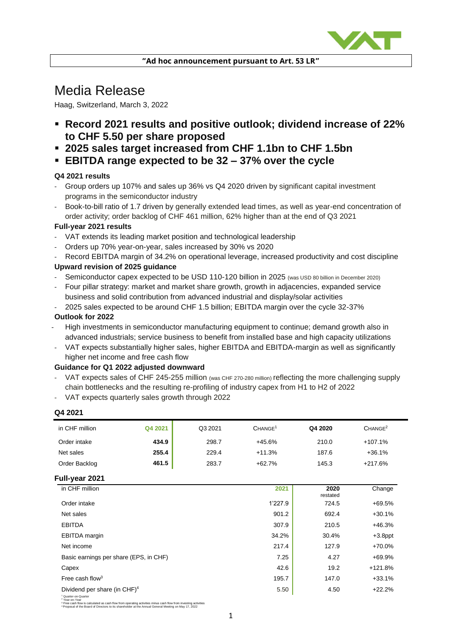

# Media Release

Haag, Switzerland, March 3, 2022

- **Record 2021 results and positive outlook; dividend increase of 22% to CHF 5.50 per share proposed**
- **2025 sales target increased from CHF 1.1bn to CHF 1.5bn**
- **EBITDA range expected to be 32 – 37% over the cycle**

# **Q4 2021 results**

- Group orders up 107% and sales up 36% vs Q4 2020 driven by significant capital investment programs in the semiconductor industry
- Book-to-bill ratio of 1.7 driven by generally extended lead times, as well as year-end concentration of order activity; order backlog of CHF 461 million, 62% higher than at the end of Q3 2021

#### **Full-year 2021 results**

- VAT extends its leading market position and technological leadership
- Orders up 70% year-on-year, sales increased by 30% vs 2020
- Record EBITDA margin of 34.2% on operational leverage, increased productivity and cost discipline

# **Upward revision of 2025 guidance**

- Semiconductor capex expected to be USD 110-120 billion in 2025 (was USD 80 billion in December 2020)
- Four pillar strategy: market and market share growth, growth in adjacencies, expanded service business and solid contribution from advanced industrial and display/solar activities
- 2025 sales expected to be around CHF 1.5 billion; EBITDA margin over the cycle 32-37%

## **Outlook for 2022**

- High investments in semiconductor manufacturing equipment to continue; demand growth also in advanced industrials; service business to benefit from installed base and high capacity utilizations
- VAT expects substantially higher sales, higher EBITDA and EBITDA-margin as well as significantly higher net income and free cash flow

#### **Guidance for Q1 2022 adjusted downward**

- VAT expects sales of CHF 245-255 million (was CHF 270-280 million) reflecting the more challenging supply chain bottlenecks and the resulting re-profiling of industry capex from H1 to H2 of 2022
- VAT expects quarterly sales growth through 2022

#### **Q4 2021**

| in CHF million                         | Q4 2021 | Q3 2021 | CHANGE <sup>1</sup> | Q4 2020          | CHANGE <sup>2</sup> |
|----------------------------------------|---------|---------|---------------------|------------------|---------------------|
| Order intake                           | 434.9   | 298.7   | $+45.6%$            | 210.0            | $+107.1%$           |
| Net sales                              | 255.4   | 229.4   | $+11.3%$            | 187.6            | $+36.1%$            |
| Order Backlog                          | 461.5   | 283.7   | $+62.7%$            | 145.3            | $+217.6%$           |
| Full-year 2021                         |         |         |                     |                  |                     |
| in CHF million                         |         |         | 2021                | 2020<br>restated | Change              |
| Order intake                           |         |         | 1'227.9             | 724.5            | +69.5%              |
| Net sales                              |         |         | 901.2               | 692.4            | $+30.1%$            |
| <b>EBITDA</b>                          |         |         | 307.9               | 210.5            | $+46.3%$            |
| <b>EBITDA</b> margin                   |         |         | 34.2%               | 30.4%            | $+3.8$ ppt          |
| Net income                             |         |         | 217.4               | 127.9            | +70.0%              |
| Basic earnings per share (EPS, in CHF) |         |         | 7.25                | 4.27             | +69.9%              |
| Capex                                  |         |         | 42.6                | 19.2             | +121.8%             |
| Free cash flow <sup>3</sup>            |         |         | 195.7               | 147.0            | $+33.1%$            |
|                                        |         |         |                     |                  |                     |

Dividend per share (in CHF)<sup>4</sup>  $\overline{5.50}$   $\overline{4.50}$   $\overline{22.2\%}$ 

' Quarter-on-Quarter<br><sup>3</sup> 'Peac-on-Year<br><sup>3</sup> Free cash flow is calculated as cash flow from operating activities minus cash flow from investing activities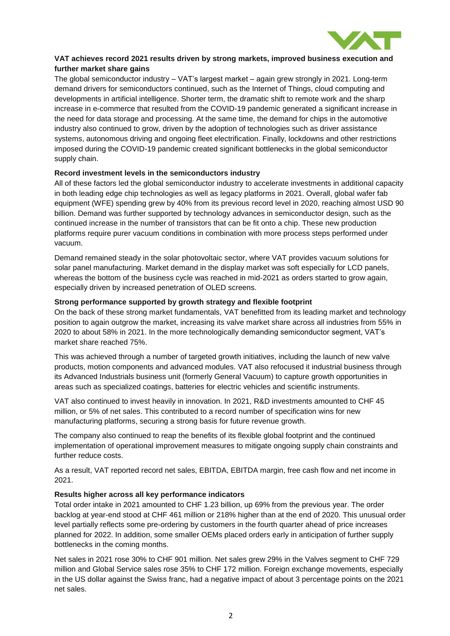

## **VAT achieves record 2021 results driven by strong markets, improved business execution and further market share gains**

The global semiconductor industry – VAT's largest market – again grew strongly in 2021. Long-term demand drivers for semiconductors continued, such as the Internet of Things, cloud computing and developments in artificial intelligence. Shorter term, the dramatic shift to remote work and the sharp increase in e-commerce that resulted from the COVID-19 pandemic generated a significant increase in the need for data storage and processing. At the same time, the demand for chips in the automotive industry also continued to grow, driven by the adoption of technologies such as driver assistance systems, autonomous driving and ongoing fleet electrification. Finally, lockdowns and other restrictions imposed during the COVID-19 pandemic created significant bottlenecks in the global semiconductor supply chain.

## **Record investment levels in the semiconductors industry**

All of these factors led the global semiconductor industry to accelerate investments in additional capacity in both leading edge chip technologies as well as legacy platforms in 2021. Overall, global wafer fab equipment (WFE) spending grew by 40% from its previous record level in 2020, reaching almost USD 90 billion. Demand was further supported by technology advances in semiconductor design, such as the continued increase in the number of transistors that can be fit onto a chip. These new production platforms require purer vacuum conditions in combination with more process steps performed under vacuum.

Demand remained steady in the solar photovoltaic sector, where VAT provides vacuum solutions for solar panel manufacturing. Market demand in the display market was soft especially for LCD panels, whereas the bottom of the business cycle was reached in mid-2021 as orders started to grow again, especially driven by increased penetration of OLED screens.

#### **Strong performance supported by growth strategy and flexible footprint**

On the back of these strong market fundamentals, VAT benefitted from its leading market and technology position to again outgrow the market, increasing its valve market share across all industries from 55% in 2020 to about 58% in 2021. In the more technologically demanding semiconductor segment, VAT's market share reached 75%.

This was achieved through a number of targeted growth initiatives, including the launch of new valve products, motion components and advanced modules. VAT also refocused it industrial business through its Advanced Industrials business unit (formerly General Vacuum) to capture growth opportunities in areas such as specialized coatings, batteries for electric vehicles and scientific instruments.

VAT also continued to invest heavily in innovation. In 2021, R&D investments amounted to CHF 45 million, or 5% of net sales. This contributed to a record number of specification wins for new manufacturing platforms, securing a strong basis for future revenue growth.

The company also continued to reap the benefits of its flexible global footprint and the continued implementation of operational improvement measures to mitigate ongoing supply chain constraints and further reduce costs.

As a result, VAT reported record net sales, EBITDA, EBITDA margin, free cash flow and net income in 2021.

#### **Results higher across all key performance indicators**

Total order intake in 2021 amounted to CHF 1.23 billion, up 69% from the previous year. The order backlog at year-end stood at CHF 461 million or 218% higher than at the end of 2020. This unusual order level partially reflects some pre-ordering by customers in the fourth quarter ahead of price increases planned for 2022. In addition, some smaller OEMs placed orders early in anticipation of further supply bottlenecks in the coming months.

Net sales in 2021 rose 30% to CHF 901 million. Net sales grew 29% in the Valves segment to CHF 729 million and Global Service sales rose 35% to CHF 172 million. Foreign exchange movements, especially in the US dollar against the Swiss franc, had a negative impact of about 3 percentage points on the 2021 net sales.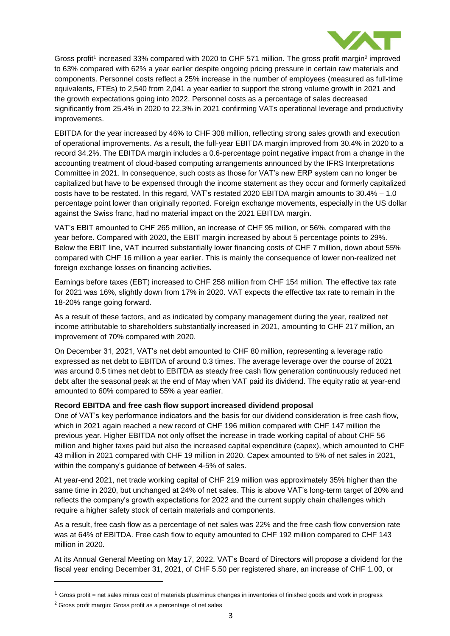

Gross profit<sup>1</sup> increased 33% compared with 2020 to CHF 571 million. The gross profit margin<sup>2</sup> improved to 63% compared with 62% a year earlier despite ongoing pricing pressure in certain raw materials and components. Personnel costs reflect a 25% increase in the number of employees (measured as full-time equivalents, FTEs) to 2,540 from 2,041 a year earlier to support the strong volume growth in 2021 and the growth expectations going into 2022. Personnel costs as a percentage of sales decreased significantly from 25.4% in 2020 to 22.3% in 2021 confirming VATs operational leverage and productivity improvements.

EBITDA for the year increased by 46% to CHF 308 million, reflecting strong sales growth and execution of operational improvements. As a result, the full-year EBITDA margin improved from 30.4% in 2020 to a record 34.2%. The EBITDA margin includes a 0.6-percentage point negative impact from a change in the accounting treatment of cloud-based computing arrangements announced by the IFRS Interpretations Committee in 2021. In consequence, such costs as those for VAT's new ERP system can no longer be capitalized but have to be expensed through the income statement as they occur and formerly capitalized costs have to be restated. In this regard, VAT's restated 2020 EBITDA margin amounts to 30.4% – 1.0 percentage point lower than originally reported. Foreign exchange movements, especially in the US dollar against the Swiss franc, had no material impact on the 2021 EBITDA margin.

VAT's EBIT amounted to CHF 265 million, an increase of CHF 95 million, or 56%, compared with the year before. Compared with 2020, the EBIT margin increased by about 5 percentage points to 29%. Below the EBIT line, VAT incurred substantially lower financing costs of CHF 7 million, down about 55% compared with CHF 16 million a year earlier. This is mainly the consequence of lower non-realized net foreign exchange losses on financing activities.

Earnings before taxes (EBT) increased to CHF 258 million from CHF 154 million. The effective tax rate for 2021 was 16%, slightly down from 17% in 2020. VAT expects the effective tax rate to remain in the 18-20% range going forward.

As a result of these factors, and as indicated by company management during the year, realized net income attributable to shareholders substantially increased in 2021, amounting to CHF 217 million, an improvement of 70% compared with 2020.

On December 31, 2021, VAT's net debt amounted to CHF 80 million, representing a leverage ratio expressed as net debt to EBITDA of around 0.3 times. The average leverage over the course of 2021 was around 0.5 times net debt to EBITDA as steady free cash flow generation continuously reduced net debt after the seasonal peak at the end of May when VAT paid its dividend. The equity ratio at year-end amounted to 60% compared to 55% a year earlier.

#### **Record EBITDA and free cash flow support increased dividend proposal**

One of VAT's key performance indicators and the basis for our dividend consideration is free cash flow, which in 2021 again reached a new record of CHF 196 million compared with CHF 147 million the previous year. Higher EBITDA not only offset the increase in trade working capital of about CHF 56 million and higher taxes paid but also the increased capital expenditure (capex), which amounted to CHF 43 million in 2021 compared with CHF 19 million in 2020. Capex amounted to 5% of net sales in 2021, within the company's guidance of between 4-5% of sales.

At year-end 2021, net trade working capital of CHF 219 million was approximately 35% higher than the same time in 2020, but unchanged at 24% of net sales. This is above VAT's long-term target of 20% and reflects the company's growth expectations for 2022 and the current supply chain challenges which require a higher safety stock of certain materials and components.

As a result, free cash flow as a percentage of net sales was 22% and the free cash flow conversion rate was at 64% of EBITDA. Free cash flow to equity amounted to CHF 192 million compared to CHF 143 million in 2020.

At its Annual General Meeting on May 17, 2022, VAT's Board of Directors will propose a dividend for the fiscal year ending December 31, 2021, of CHF 5.50 per registered share, an increase of CHF 1.00, or

 $\overline{a}$ 

 $1$  Gross profit = net sales minus cost of materials plus/minus changes in inventories of finished goods and work in progress

 $2$  Gross profit margin: Gross profit as a percentage of net sales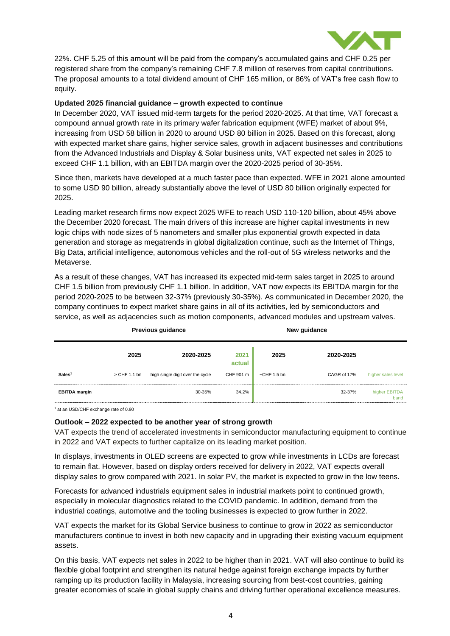

22%. CHF 5.25 of this amount will be paid from the company's accumulated gains and CHF 0.25 per registered share from the company's remaining CHF 7.8 million of reserves from capital contributions. The proposal amounts to a total dividend amount of CHF 165 million, or 86% of VAT's free cash flow to equity.

#### **Updated 2025 financial guidance – growth expected to continue**

In December 2020, VAT issued mid-term targets for the period 2020-2025. At that time, VAT forecast a compound annual growth rate in its primary wafer fabrication equipment (WFE) market of about 9%, increasing from USD 58 billion in 2020 to around USD 80 billion in 2025. Based on this forecast, along with expected market share gains, higher service sales, growth in adjacent businesses and contributions from the Advanced Industrials and Display & Solar business units, VAT expected net sales in 2025 to exceed CHF 1.1 billion, with an EBITDA margin over the 2020-2025 period of 30-35%.

Since then, markets have developed at a much faster pace than expected. WFE in 2021 alone amounted to some USD 90 billion, already substantially above the level of USD 80 billion originally expected for 2025.

Leading market research firms now expect 2025 WFE to reach USD 110-120 billion, about 45% above the December 2020 forecast. The main drivers of this increase are higher capital investments in new logic chips with node sizes of 5 nanometers and smaller plus exponential growth expected in data generation and storage as megatrends in global digitalization continue, such as the Internet of Things, Big Data, artificial intelligence, autonomous vehicles and the roll-out of 5G wireless networks and the Metaverse.

As a result of these changes, VAT has increased its expected mid-term sales target in 2025 to around CHF 1.5 billion from previously CHF 1.1 billion. In addition, VAT now expects its EBITDA margin for the period 2020-2025 to be between 32-37% (previously 30-35%). As communicated in December 2020, the company continues to expect market share gains in all of its activities, led by semiconductors and service, as well as adjacencies such as motion components, advanced modules and upstream valves.

|                      | <b>Previous guidance</b> |                                  |                | New guidance      |             |                       |
|----------------------|--------------------------|----------------------------------|----------------|-------------------|-------------|-----------------------|
|                      | 2025                     | 2020-2025                        | 2021<br>actual | 2025              | 2020-2025   |                       |
| Sales <sup>1</sup>   | > CHF 1.1 bn             | high single digit over the cycle | CHF 901 m      | $\sim$ CHF 1.5 bn | CAGR of 17% | higher sales level    |
| <b>EBITDA</b> margin |                          | 30-35%                           | 34.2%          |                   | 32-37%      | higher EBITDA<br>band |

1 at an USD/CHF exchange rate of 0.90

#### **Outlook – 2022 expected to be another year of strong growth**

VAT expects the trend of accelerated investments in semiconductor manufacturing equipment to continue in 2022 and VAT expects to further capitalize on its leading market position.

In displays, investments in OLED screens are expected to grow while investments in LCDs are forecast to remain flat. However, based on display orders received for delivery in 2022, VAT expects overall display sales to grow compared with 2021. In solar PV, the market is expected to grow in the low teens.

Forecasts for advanced industrials equipment sales in industrial markets point to continued growth, especially in molecular diagnostics related to the COVID pandemic. In addition, demand from the industrial coatings, automotive and the tooling businesses is expected to grow further in 2022.

VAT expects the market for its Global Service business to continue to grow in 2022 as semiconductor manufacturers continue to invest in both new capacity and in upgrading their existing vacuum equipment assets.

On this basis, VAT expects net sales in 2022 to be higher than in 2021. VAT will also continue to build its flexible global footprint and strengthen its natural hedge against foreign exchange impacts by further ramping up its production facility in Malaysia, increasing sourcing from best-cost countries, gaining greater economies of scale in global supply chains and driving further operational excellence measures.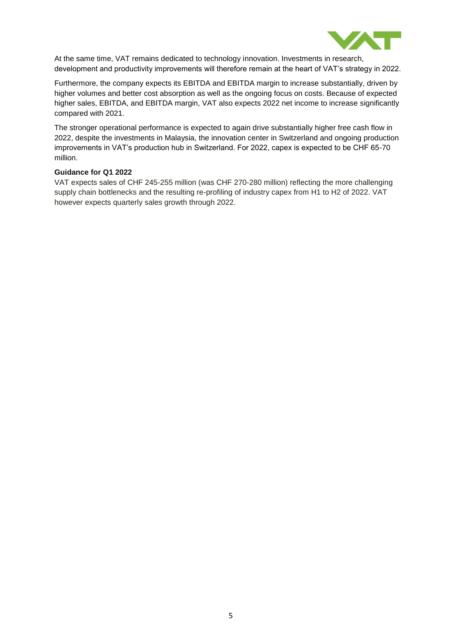

At the same time, VAT remains dedicated to technology innovation. Investments in research, development and productivity improvements will therefore remain at the heart of VAT's strategy in 2022.

Furthermore, the company expects its EBITDA and EBITDA margin to increase substantially, driven by higher volumes and better cost absorption as well as the ongoing focus on costs. Because of expected higher sales, EBITDA, and EBITDA margin, VAT also expects 2022 net income to increase significantly compared with 2021.

The stronger operational performance is expected to again drive substantially higher free cash flow in 2022, despite the investments in Malaysia, the innovation center in Switzerland and ongoing production improvements in VAT's production hub in Switzerland. For 2022, capex is expected to be CHF 65-70 million.

#### **Guidance for Q1 2022**

VAT expects sales of CHF 245-255 million (was CHF 270-280 million) reflecting the more challenging supply chain bottlenecks and the resulting re-profiling of industry capex from H1 to H2 of 2022. VAT however expects quarterly sales growth through 2022.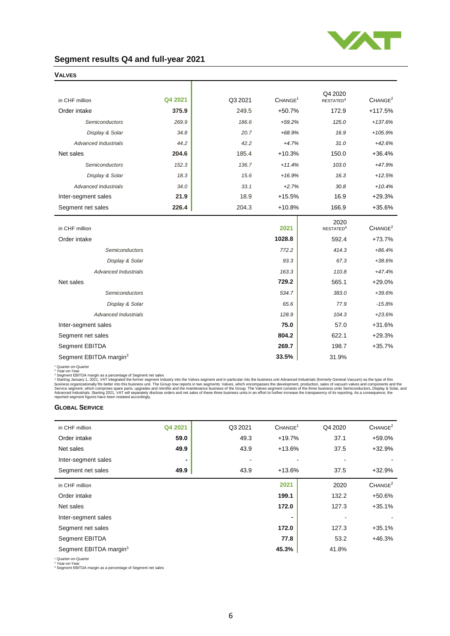

## **Segment results Q4 and full-year 2021**

|                                    |         |         |                     | Q4 2020                       |                     |
|------------------------------------|---------|---------|---------------------|-------------------------------|---------------------|
| in CHF million                     | Q4 2021 | Q3 2021 | CHANGE <sup>1</sup> | RESTATED <sup>4</sup>         | CHANGE <sup>2</sup> |
| Order intake                       | 375.9   | 249.5   | $+50.7%$            | 172.9                         | $+117.5%$           |
| Semiconductors                     | 269.9   | 186.6   | $+59.2%$            | 125.0                         | $+137.6%$           |
| Display & Solar                    | 34.8    | 20.7    | $+68.9%$            | 16.9                          | $+105.9%$           |
| <b>Advanced Industrials</b>        | 44.2    | 42.2    | $+4.7%$             | 31.0                          | $+42.6%$            |
| Net sales                          | 204.6   | 185.4   | $+10.3%$            | 150.0                         | $+36.4%$            |
| <b>Semiconductors</b>              | 152.3   | 136.7   | $+11.4%$            | 103.0                         | +47.9%              |
| Display & Solar                    | 18.3    | 15.6    | $+16.9%$            | 16.3                          | $+12.5%$            |
| <b>Advanced Industrials</b>        | 34.0    | 33.1    | $+2.7%$             | 30.8                          | $+10.4%$            |
| Inter-segment sales                | 21.9    | 18.9    | $+15.5%$            | 16.9                          | $+29.3%$            |
| Segment net sales                  | 226.4   | 204.3   | $+10.8%$            | 166.9                         | $+35.6%$            |
| in CHF million                     |         |         | 2021                | 2020<br>RESTATED <sup>4</sup> | CHANGE <sup>2</sup> |
| Order intake                       |         |         | 1028.8              | 592.4                         | $+73.7%$            |
|                                    |         |         | 772.2               | 414.3                         | $+86.4%$            |
| Semiconductors                     |         |         |                     |                               |                     |
| Display & Solar                    |         |         | 93.3                | 67.3                          | $+38.6%$            |
| <b>Advanced Industrials</b>        |         |         | 163.3               | 110.8                         | $+47.4%$            |
| Net sales                          |         |         | 729.2               | 565.1                         | $+29.0%$            |
| Semiconductors                     |         |         | 534.7               | 383.0                         | $+39.6%$            |
| Display & Solar                    |         |         | 65.6                | 77.9                          | $-15.8%$            |
| <b>Advanced Industrials</b>        |         |         | 128.9               | 104.3                         | $+23.6%$            |
| Inter-segment sales                |         |         | 75.0                | 57.0                          | $+31.6%$            |
| Segment net sales                  |         |         | 804.2               | 622.1                         | $+29.3%$            |
| Segment EBITDA                     |         | 269.7   | 198.7               | $+35.7%$                      |                     |
| Segment EBITDA margin <sup>3</sup> |         | 33.5%   | 31.9%               |                               |                     |

**VALVES**

<sup>1</sup> Quarter-on-Quarter<br><sup>2</sup> Year-on-Vear<br><sup>2</sup> Segment EBITDA margin as a percentage of Segment net sales<br><sup>2</sup> Segment EBITDA margin as a percentage of Segment net sales<br><sup>3</sup> Segment EBITDA margin as a percentage of Segment net

#### **GLOBAL SERVICE**

| in CHF million                     | Q4 2021 | Q3 2021                  | CHANGE <sup>1</sup> | Q4 2020 | CHANGE <sup>2</sup> |
|------------------------------------|---------|--------------------------|---------------------|---------|---------------------|
| Order intake                       | 59.0    | 49.3                     | $+19.7%$            | 37.1    | $+59.0%$            |
| Net sales                          | 49.9    | 43.9                     | $+13.6%$            | 37.5    | $+32.9%$            |
| Inter-segment sales                | ٠       | $\overline{\phantom{a}}$ |                     | ٠       |                     |
| Segment net sales                  | 49.9    | 43.9                     | $+13.6%$            | 37.5    | $+32.9%$            |
| in CHF million                     |         |                          | 2021                | 2020    | CHANGE <sup>2</sup> |
| Order intake                       |         |                          | 199.1               | 132.2   | $+50.6%$            |
| Net sales                          |         |                          | 172.0               | 127.3   | $+35.1%$            |
| Inter-segment sales                |         |                          |                     |         |                     |
| Segment net sales                  |         |                          | 172.0               | 127.3   | $+35.1%$            |
| Segment EBITDA                     |         |                          | 77.8                | 53.2    | $+46.3%$            |
| Segment EBITDA margin <sup>3</sup> |         |                          | 45.3%               | 41.8%   |                     |

<sup>1</sup> Quarter-on-Quarter <sup>2</sup> Year-on-Year <sup>3</sup> Segment EBITDA margin as a percentage of Segment net sales